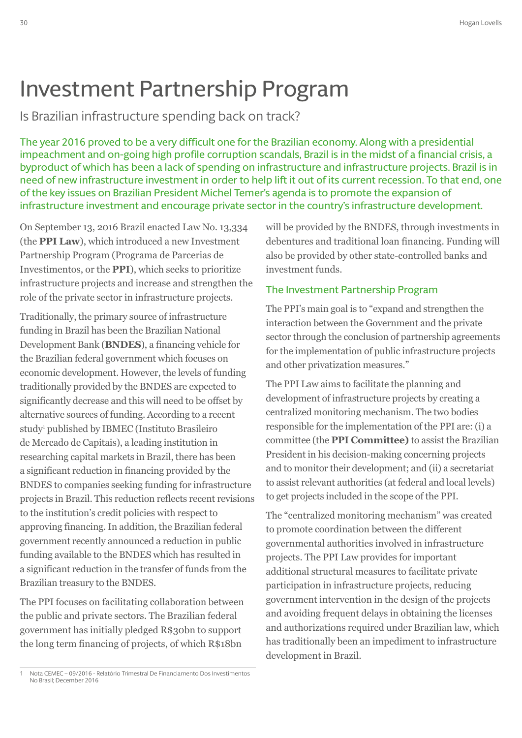## Investment Partnership Program

Is Brazilian infrastructure spending back on track?

The year 2016 proved to be a very difficult one for the Brazilian economy. Along with a presidential impeachment and on-going high profile corruption scandals, Brazil is in the midst of a financial crisis, a byproduct of which has been a lack of spending on infrastructure and infrastructure projects. Brazil is in need of new infrastructure investment in order to help lift it out of its current recession. To that end, one of the key issues on Brazilian President Michel Temer's agenda is to promote the expansion of infrastructure investment and encourage private sector in the country's infrastructure development.

On September 13, 2016 Brazil enacted Law No. 13,334 (the **PPI Law**), which introduced a new Investment Partnership Program (Programa de Parcerias de Investimentos, or the **PPI**), which seeks to prioritize infrastructure projects and increase and strengthen the role of the private sector in infrastructure projects.

Traditionally, the primary source of infrastructure funding in Brazil has been the Brazilian National Development Bank (**BNDES**), a financing vehicle for the Brazilian federal government which focuses on economic development. However, the levels of funding traditionally provided by the BNDES are expected to significantly decrease and this will need to be offset by alternative sources of funding. According to a recent study<sup>1</sup> published by IBMEC (Instituto Brasileiro de Mercado de Capitais), a leading institution in researching capital markets in Brazil, there has been a significant reduction in financing provided by the BNDES to companies seeking funding for infrastructure projects in Brazil. This reduction reflects recent revisions to the institution's credit policies with respect to approving financing. In addition, the Brazilian federal government recently announced a reduction in public funding available to the BNDES which has resulted in a significant reduction in the transfer of funds from the Brazilian treasury to the BNDES.

The PPI focuses on facilitating collaboration between the public and private sectors. The Brazilian federal government has initially pledged R\$30bn to support the long term financing of projects, of which R\$18bn

## The Investment Partnership Program

The PPI's main goal is to "expand and strengthen the interaction between the Government and the private sector through the conclusion of partnership agreements for the implementation of public infrastructure projects and other privatization measures."

The PPI Law aims to facilitate the planning and development of infrastructure projects by creating a centralized monitoring mechanism. The two bodies responsible for the implementation of the PPI are: (i) a committee (the **PPI Committee)** to assist the Brazilian President in his decision-making concerning projects and to monitor their development; and (ii) a secretariat to assist relevant authorities (at federal and local levels) to get projects included in the scope of the PPI.

The "centralized monitoring mechanism" was created to promote coordination between the different governmental authorities involved in infrastructure projects. The PPI Law provides for important additional structural measures to facilitate private participation in infrastructure projects, reducing government intervention in the design of the projects and avoiding frequent delays in obtaining the licenses and authorizations required under Brazilian law, which has traditionally been an impediment to infrastructure development in Brazil.

will be provided by the BNDES, through investments in debentures and traditional loan financing. Funding will also be provided by other state-controlled banks and investment funds.

<sup>1</sup> Nota CEMEC – 09/2016 - Relatório Trimestral De Financiamento Dos Investimentos No Brasil; December 2016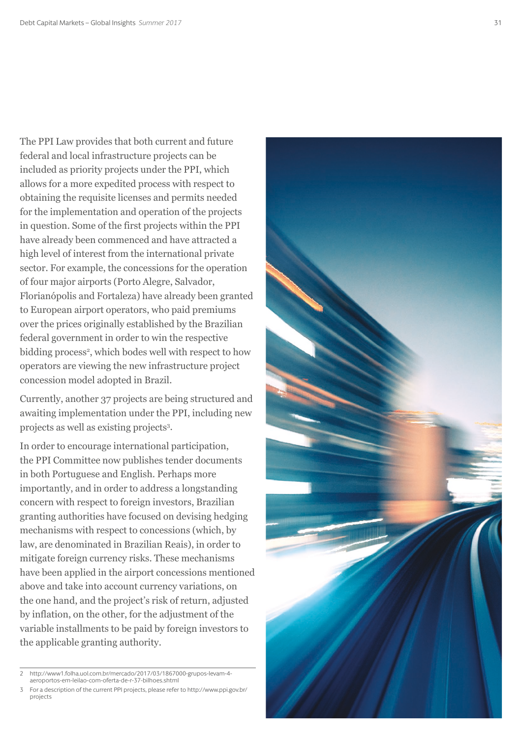The PPI Law provides that both current and future federal and local infrastructure projects can be included as priority projects under the PPI, which allows for a more expedited process with respect to obtaining the requisite licenses and permits needed for the implementation and operation of the projects in question. Some of the first projects within the PPI have already been commenced and have attracted a high level of interest from the international private sector. For example, the concessions for the operation of four major airports (Porto Alegre, Salvador, Florianópolis and Fortaleza) have already been granted to European airport operators, who paid premiums over the prices originally established by the Brazilian federal government in order to win the respective bidding process 2 , which bodes well with respect to how operators are viewing the new infrastructure project concession model adopted in Brazil.

Currently, another 37 projects are being structured and awaiting implementation under the PPI, including new projects as well as existing projects 3 .

In order to encourage international participation, the PPI Committee now publishes tender documents in both Portuguese and English. Perhaps more importantly, and in order to address a longstanding concern with respect to foreign investors, Brazilian granting authorities have focused on devising hedging mechanisms with respect to concessions (which, by law, are denominated in Brazilian Reais), in order to mitigate foreign currency risks. These mechanisms have been applied in the airport concessions mentioned above and take into account currency variations, on the one hand, and the project's risk of return, adjusted by inflation, on the other, for the adjustment of the variable installments to be paid by foreign investors to the applicable granting authority.

<sup>3</sup> For a description of the current PPI projects, please refer to http://www.ppi.gov.br/ projects



<sup>2</sup> http://www1.folha.uol.com.br/mercado/2017/03/1867000-grupos-levam-4 aeroportos-em-leilao-com-oferta-de-r-37-bilhoes.shtml